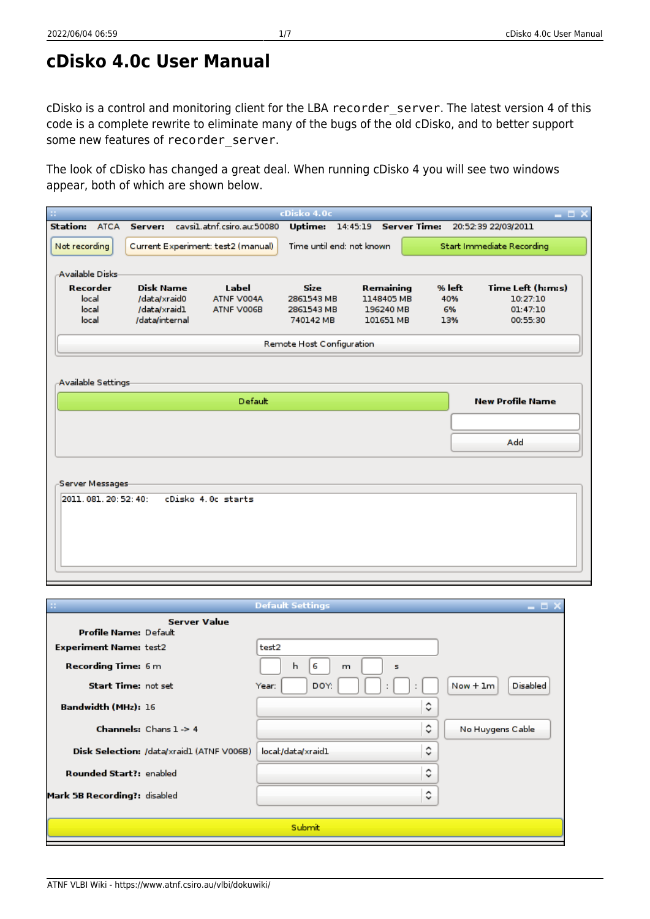### **cDisko 4.0c User Manual**

cDisko is a control and monitoring client for the LBA recorder server. The latest version 4 of this code is a complete rewrite to eliminate many of the bugs of the old cDisko, and to better support some new features of recorder server.

The look of cDisko has changed a great deal. When running cDisko 4 you will see two windows appear, both of which are shown below.

| ×                                     |                  |                                    | cDisko 4.0c               |                       |          | $  \times$                |
|---------------------------------------|------------------|------------------------------------|---------------------------|-----------------------|----------|---------------------------|
| <b>Station: ATCA Server:</b>          |                  | cavsi1.atnf.csiro.au:50080         | Uptime:                   | 14:45:19 Server Time: |          | 20:52:39 22/03/2011       |
| Not recording                         |                  | Current Experiment: test2 (manual) | Time until end: not known |                       |          | Start Immediate Recording |
| -Available Disks-                     |                  |                                    |                           |                       |          |                           |
| Recorder                              | <b>Disk Name</b> | Label                              | S <sub>ze</sub>           | Remaining             | $%$ left | Time Left (h:m:s)         |
| local                                 | /data/xraid0     | ATNF V004A                         | 2861543 MB                | 1148405 MB            | 40%      | 10:27:10                  |
| local                                 | /data/xraid1     | ATNF V006B                         | 2861543 MB                | 196240 MB             | 6%       | 01:47:10                  |
| local                                 | /data/internal   |                                    | 740142 MB                 | 101651 MB             | 13%      | 00:55:30                  |
|                                       |                  |                                    | Remote Host Configuration |                       |          |                           |
| Available Settings                    |                  | Default                            |                           |                       |          | <b>New Profile Name</b>   |
|                                       |                  |                                    |                           |                       |          | Add                       |
| Server Messages<br>2011.081.20:52:40: |                  | cDisko 4.0c starts                 |                           |                       |          |                           |

| m                              |                                           | <b>Default Settings</b> | – O X                         |
|--------------------------------|-------------------------------------------|-------------------------|-------------------------------|
| <b>Profile Name: Default</b>   | <b>Server Value</b>                       |                         |                               |
| <b>Experiment Name: test2</b>  |                                           | test2                   |                               |
| <b>Recording Time: 6 m</b>     |                                           | h<br>6<br>m<br>s        |                               |
| <b>Start Time: not set</b>     |                                           | DOY:<br>Year:           | <b>Disabled</b><br>$Now + 1m$ |
| <b>Bandwidth (MHz): 16</b>     |                                           | ़                       |                               |
|                                | <b>Channels:</b> Chans $1 - 54$           | ़                       | No Huygens Cable              |
|                                | Disk Selection: /data/xraid1 (ATNF V006B) | ଼<br>local:/data/xraid1 |                               |
| <b>Rounded Start?: enabled</b> |                                           | ٥                       |                               |
| Mark 5B Recording?: disabled   |                                           | ़                       |                               |
|                                |                                           | <b>Submit</b>           |                               |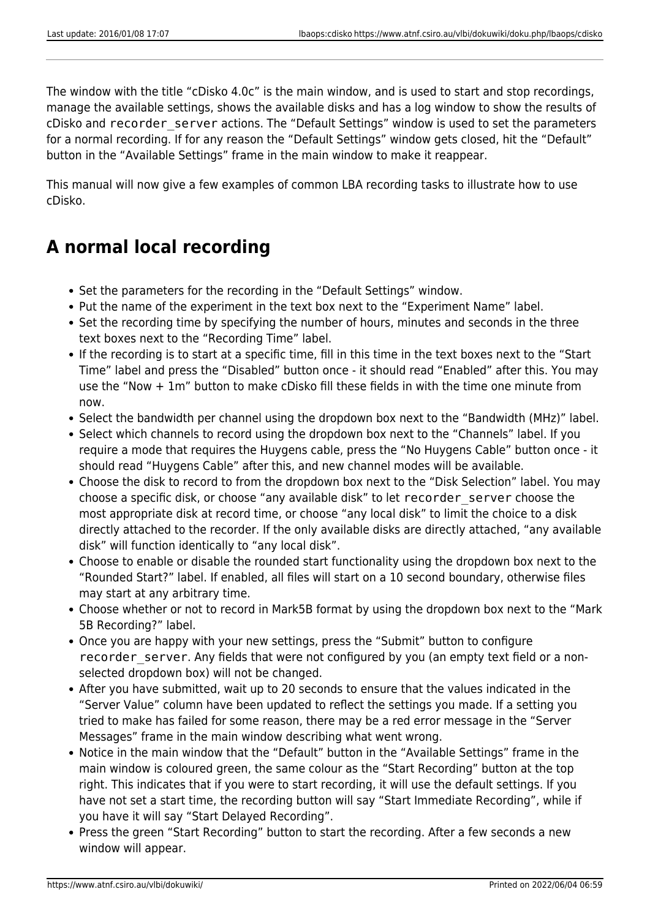The window with the title "cDisko 4.0c" is the main window, and is used to start and stop recordings, manage the available settings, shows the available disks and has a log window to show the results of cDisko and recorder\_server actions. The "Default Settings" window is used to set the parameters for a normal recording. If for any reason the "Default Settings" window gets closed, hit the "Default" button in the "Available Settings" frame in the main window to make it reappear.

This manual will now give a few examples of common LBA recording tasks to illustrate how to use cDisko.

# **A normal local recording**

- Set the parameters for the recording in the "Default Settings" window.
- Put the name of the experiment in the text box next to the "Experiment Name" label.
- Set the recording time by specifying the number of hours, minutes and seconds in the three text boxes next to the "Recording Time" label.
- If the recording is to start at a specific time, fill in this time in the text boxes next to the "Start Time" label and press the "Disabled" button once - it should read "Enabled" after this. You may use the "Now + 1m" button to make cDisko fill these fields in with the time one minute from now.
- Select the bandwidth per channel using the dropdown box next to the "Bandwidth (MHz)" label.
- Select which channels to record using the dropdown box next to the "Channels" label. If you require a mode that requires the Huygens cable, press the "No Huygens Cable" button once - it should read "Huygens Cable" after this, and new channel modes will be available.
- Choose the disk to record to from the dropdown box next to the "Disk Selection" label. You may choose a specific disk, or choose "any available disk" to let recorder\_server choose the most appropriate disk at record time, or choose "any local disk" to limit the choice to a disk directly attached to the recorder. If the only available disks are directly attached, "any available disk" will function identically to "any local disk".
- Choose to enable or disable the rounded start functionality using the dropdown box next to the "Rounded Start?" label. If enabled, all files will start on a 10 second boundary, otherwise files may start at any arbitrary time.
- Choose whether or not to record in Mark5B format by using the dropdown box next to the "Mark 5B Recording?" label.
- Once you are happy with your new settings, press the "Submit" button to configure recorder server. Any fields that were not configured by you (an empty text field or a nonselected dropdown box) will not be changed.
- After you have submitted, wait up to 20 seconds to ensure that the values indicated in the "Server Value" column have been updated to reflect the settings you made. If a setting you tried to make has failed for some reason, there may be a red error message in the "Server Messages" frame in the main window describing what went wrong.
- Notice in the main window that the "Default" button in the "Available Settings" frame in the main window is coloured green, the same colour as the "Start Recording" button at the top right. This indicates that if you were to start recording, it will use the default settings. If you have not set a start time, the recording button will say "Start Immediate Recording", while if you have it will say "Start Delayed Recording".
- Press the green "Start Recording" button to start the recording. After a few seconds a new window will appear.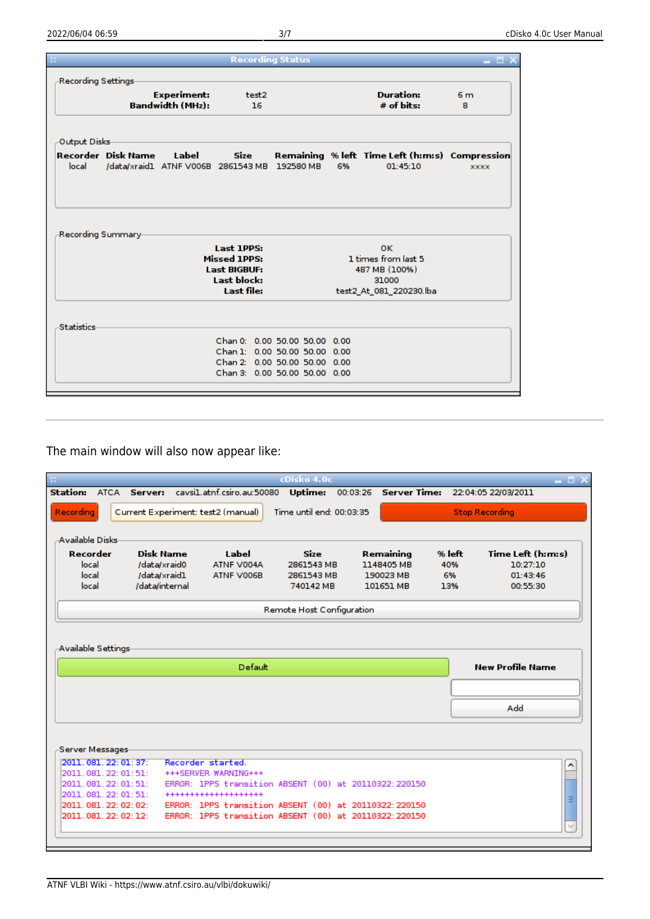|                      |                           |                                    |                                                           | <b>Recording Status</b> |      |                                                |                |
|----------------------|---------------------------|------------------------------------|-----------------------------------------------------------|-------------------------|------|------------------------------------------------|----------------|
| -Recording Settings- |                           |                                    |                                                           |                         |      |                                                |                |
|                      |                           | <b>Experiment:</b>                 | test2                                                     |                         |      | <b>Duration:</b>                               | 6 <sub>m</sub> |
|                      |                           | <b>Bandwidth (MHz):</b>            | 16                                                        |                         |      | $#$ of bits:                                   | 8              |
| Output Disks         |                           |                                    |                                                           |                         |      |                                                |                |
|                      | <b>Recorder</b> Disk Name | Label                              | <b>Size</b>                                               |                         |      | Remaining % left Time Left (h:m:s) Compression |                |
| local                |                           | /data/xraid1 ATNF V006B 2861543 MB |                                                           | 192580 MB               | 6%   | 01:45:10                                       | <b>XXXX</b>    |
|                      |                           |                                    |                                                           |                         |      |                                                |                |
|                      |                           |                                    |                                                           |                         |      |                                                |                |
| -Recording Summary-  |                           |                                    |                                                           |                         |      |                                                |                |
|                      |                           |                                    | Last 1PPS:                                                |                         |      | 0K.                                            |                |
|                      |                           |                                    | <b>Missed 1PPS:</b>                                       |                         |      | 1 times from last 5                            |                |
|                      |                           |                                    | <b>Last BIGBUF:</b>                                       |                         |      | 487 MB (100%)                                  |                |
|                      |                           |                                    | Last block:                                               |                         |      | 31000                                          |                |
|                      |                           |                                    | Last file:                                                |                         |      | test2 At 081 220230.lba                        |                |
|                      |                           |                                    |                                                           |                         |      |                                                |                |
|                      |                           |                                    |                                                           |                         |      |                                                |                |
| <b>Statistics</b>    |                           |                                    |                                                           |                         |      |                                                |                |
|                      |                           |                                    | Chan 0: 0.00 50.00 50.00 0.00                             |                         |      |                                                |                |
|                      |                           |                                    | Chan 1: 0.00 50.00 50.00                                  |                         | 0.00 |                                                |                |
|                      |                           |                                    | Chan 2: 0.00 50.00 50.00<br>Chan 3: 0.00 50.00 50.00 0.00 |                         | 0.00 |                                                |                |

The main window will also now appear like:

|                                          |                  |                                                                                                                |            | cDisko 4.0c               |          |                     |        | - <b>- ×</b>            |
|------------------------------------------|------------------|----------------------------------------------------------------------------------------------------------------|------------|---------------------------|----------|---------------------|--------|-------------------------|
| Station:                                 | ATCA Server:     | cavsil.atnf.csiro.au:50080                                                                                     |            | <b>Uptime:</b>            | 00:03:26 | <b>Server Time:</b> |        | 22:04:05 22/03/2011     |
| <b>Recording</b>                         |                  | Current Experiment: test2 (manual)                                                                             |            | Time until end: 00:03:35  |          |                     |        | <b>Stop Recording</b>   |
|                                          |                  |                                                                                                                |            |                           |          |                     |        |                         |
| -Available Disks-                        |                  |                                                                                                                |            |                           |          |                     |        |                         |
| Recorder                                 | <b>Disk Name</b> |                                                                                                                | Label      | S <sub>ze</sub>           |          | Remaining           | % left | Time Left (h:m:s)       |
| local                                    | /data/xraid0     |                                                                                                                | ATNF V004A | 2861543 MB                |          | 1148405 MB          | 40%    | 10:27:10                |
| local                                    | /data/xraid1     |                                                                                                                | ATNF V006B | 2861543 MB                |          | 190023 MB           | 6%     | 01.43.46                |
| local                                    | /data/internal   |                                                                                                                |            | 740142 MB                 |          | 101651 MB           | 13%    | 00:55:30                |
|                                          |                  |                                                                                                                |            | Remote Host Configuration |          |                     |        |                         |
|                                          |                  |                                                                                                                |            |                           |          |                     |        |                         |
|                                          |                  |                                                                                                                |            |                           |          |                     |        |                         |
| Available Settings                       |                  |                                                                                                                |            |                           |          |                     |        |                         |
|                                          |                  |                                                                                                                | Default    |                           |          |                     |        | <b>New Profile Name</b> |
|                                          |                  |                                                                                                                |            |                           |          |                     |        |                         |
|                                          |                  |                                                                                                                |            |                           |          |                     |        |                         |
|                                          |                  |                                                                                                                |            |                           |          |                     |        | Add                     |
|                                          |                  |                                                                                                                |            |                           |          |                     |        |                         |
|                                          |                  |                                                                                                                |            |                           |          |                     |        |                         |
| Server Messages                          |                  |                                                                                                                |            |                           |          |                     |        |                         |
| 2011.081.22:01:37:                       |                  | Recorder started.                                                                                              |            |                           |          |                     |        |                         |
| 2011.081.22:01:51:                       |                  | +++SERVER WARNING+++                                                                                           |            |                           |          |                     |        |                         |
| 2011.081.22:01:51:                       |                  | ERROR: 1PPS transition ABSENT (00) at 20110322:220150                                                          |            |                           |          |                     |        |                         |
| 2011.081.22:01:51:<br>2011.081.22:02:02: |                  | ********************                                                                                           |            |                           |          |                     |        | Ξ                       |
| 2011.081.22:02:12:                       |                  | ERROR: 1PPS transition ABSENT (00) at 20110322:220150<br>ERROR: 1PPS transition ABSENT (00) at 20110322:220150 |            |                           |          |                     |        |                         |
|                                          |                  |                                                                                                                |            |                           |          |                     |        |                         |
|                                          |                  |                                                                                                                |            |                           |          |                     |        |                         |
|                                          |                  |                                                                                                                |            |                           |          |                     |        |                         |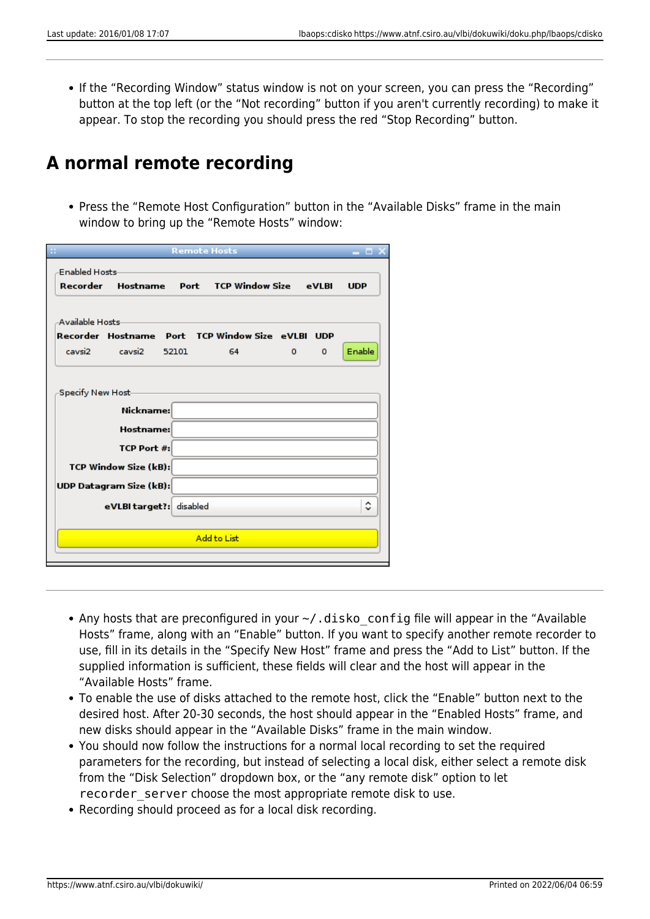• If the "Recording Window" status window is not on your screen, you can press the "Recording" button at the top left (or the "Not recording" button if you aren't currently recording) to make it appear. To stop the recording you should press the red "Stop Recording" button.

### **A normal remote recording**

• Press the "Remote Host Configuration" button in the "Available Disks" frame in the main window to bring up the "Remote Hosts" window:

|                                                  | <b>Remote Hosts</b> |                        |   |          | - - -      |
|--------------------------------------------------|---------------------|------------------------|---|----------|------------|
| <b>Enabled Hosts</b>                             |                     |                        |   |          |            |
| Recorder<br>Hostname Port                        |                     | <b>TCP Window Size</b> |   | eVIRI    | <b>UDP</b> |
|                                                  |                     |                        |   |          |            |
| <b>Available Hosts</b>                           |                     |                        |   |          |            |
| Recorder Hostname Port TCP Window Size eVLBI UDP |                     |                        |   |          |            |
| cavsi2<br>cavsi2                                 | 52101               | 64                     | 0 | $\Omega$ | Enable     |
| Nickname:<br><b>Hostname:</b>                    |                     |                        |   |          |            |
| TCP Port #:                                      |                     |                        |   |          |            |
| <b>TCP Window Size (kB):</b>                     |                     |                        |   |          |            |
| UDP Datagram Size (kB):                          |                     |                        |   |          |            |
| eVLBI target?: disabled                          |                     |                        |   |          | ٥          |
|                                                  |                     |                        |   |          |            |
|                                                  |                     | <b>Add to List</b>     |   |          |            |
|                                                  |                     |                        |   |          |            |

- Any hosts that are preconfigured in your  $\sim$ /. disko config file will appear in the "Available Hosts" frame, along with an "Enable" button. If you want to specify another remote recorder to use, fill in its details in the "Specify New Host" frame and press the "Add to List" button. If the supplied information is sufficient, these fields will clear and the host will appear in the "Available Hosts" frame.
- To enable the use of disks attached to the remote host, click the "Enable" button next to the desired host. After 20-30 seconds, the host should appear in the "Enabled Hosts" frame, and new disks should appear in the "Available Disks" frame in the main window.
- You should now follow the instructions for a normal local recording to set the required parameters for the recording, but instead of selecting a local disk, either select a remote disk from the "Disk Selection" dropdown box, or the "any remote disk" option to let recorder server choose the most appropriate remote disk to use.
- Recording should proceed as for a local disk recording.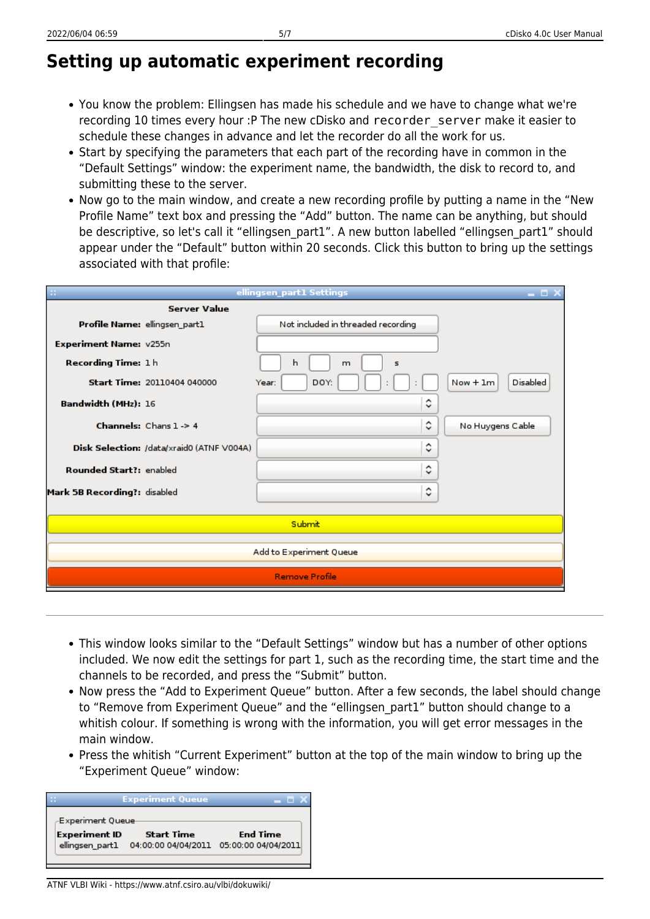# **Setting up automatic experiment recording**

- You know the problem: Ellingsen has made his schedule and we have to change what we're recording 10 times every hour :P The new cDisko and recorder\_server make it easier to schedule these changes in advance and let the recorder do all the work for us.
- Start by specifying the parameters that each part of the recording have in common in the "Default Settings" window: the experiment name, the bandwidth, the disk to record to, and submitting these to the server.
- Now go to the main window, and create a new recording profile by putting a name in the "New Profile Name" text box and pressing the "Add" button. The name can be anything, but should be descriptive, so let's call it "ellingsen\_part1". A new button labelled "ellingsen\_part1" should appear under the "Default" button within 20 seconds. Click this button to bring up the settings associated with that profile:

|                                           | ellingsen_part1 Settings              |                               |
|-------------------------------------------|---------------------------------------|-------------------------------|
| <b>Server Value</b>                       |                                       |                               |
| Profile Name: ellingsen_part1             | Not included in threaded recording    |                               |
| Experiment Name: v255n                    |                                       |                               |
| Recording Time: 1h                        | h<br>s<br>m                           |                               |
| <b>Start Time: 20110404 040000</b>        | DOY.<br>Year:<br>$\ddot{\phantom{a}}$ | <b>Disabled</b><br>$Now + 1m$ |
| Bandwidth (MHz): 16                       | ٥                                     |                               |
| <b>Channels:</b> Chans $1 - 54$           | ≎                                     | No Huygens Cable              |
| Disk Selection: /data/xraid0 (ATNF V004A) | ≎                                     |                               |
| <b>Rounded Start?: enabled</b>            | ≎                                     |                               |
| Mark 5B Recording?: disabled              | ٥                                     |                               |
|                                           |                                       |                               |
|                                           | Submit                                |                               |
|                                           | Add to Experiment Queue               |                               |
|                                           | <b>Remove Profile</b>                 |                               |
|                                           |                                       |                               |

- This window looks similar to the "Default Settings" window but has a number of other options included. We now edit the settings for part 1, such as the recording time, the start time and the channels to be recorded, and press the "Submit" button.
- Now press the "Add to Experiment Queue" button. After a few seconds, the label should change to "Remove from Experiment Queue" and the "ellingsen\_part1" button should change to a whitish colour. If something is wrong with the information, you will get error messages in the main window.
- Press the whitish "Current Experiment" button at the top of the main window to bring up the "Experiment Queue" window:



ATNF VLBI Wiki - https://www.atnf.csiro.au/vlbi/dokuwiki/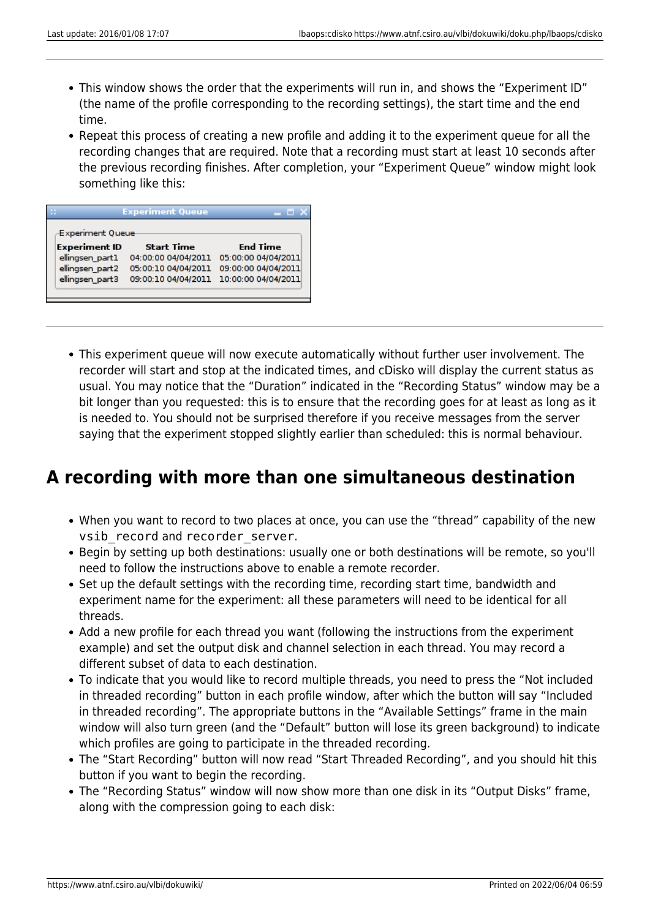- This window shows the order that the experiments will run in, and shows the "Experiment ID" (the name of the profile corresponding to the recording settings), the start time and the end time.
- Repeat this process of creating a new profile and adding it to the experiment queue for all the recording changes that are required. Note that a recording must start at least 10 seconds after the previous recording finishes. After completion, your "Experiment Queue" window might look something like this:

| <b>Experiment Queue</b> |                     |                     |  |  |  |  |  |  |  |
|-------------------------|---------------------|---------------------|--|--|--|--|--|--|--|
| <b>Experiment Queue</b> |                     |                     |  |  |  |  |  |  |  |
| <b>Experiment ID</b>    | <b>Start Time</b>   | <b>End Time</b>     |  |  |  |  |  |  |  |
| ellingsen part1         | 04:00:00 04/04/2011 | 05:00:00 04/04/2011 |  |  |  |  |  |  |  |
| ellingsen part2         | 05:00:10 04/04/2011 | 09:00:00 04/04/2011 |  |  |  |  |  |  |  |
| ellingsen part3         | 09:00:10 04/04/2011 | 10:00:00 04/04/2011 |  |  |  |  |  |  |  |
|                         |                     |                     |  |  |  |  |  |  |  |
|                         |                     |                     |  |  |  |  |  |  |  |

This experiment queue will now execute automatically without further user involvement. The recorder will start and stop at the indicated times, and cDisko will display the current status as usual. You may notice that the "Duration" indicated in the "Recording Status" window may be a bit longer than you requested: this is to ensure that the recording goes for at least as long as it is needed to. You should not be surprised therefore if you receive messages from the server saying that the experiment stopped slightly earlier than scheduled: this is normal behaviour.

### **A recording with more than one simultaneous destination**

- When you want to record to two places at once, you can use the "thread" capability of the new vsib record and recorder server.
- Begin by setting up both destinations: usually one or both destinations will be remote, so you'll need to follow the instructions above to enable a remote recorder.
- Set up the default settings with the recording time, recording start time, bandwidth and experiment name for the experiment: all these parameters will need to be identical for all threads.
- Add a new profile for each thread you want (following the instructions from the experiment example) and set the output disk and channel selection in each thread. You may record a different subset of data to each destination.
- To indicate that you would like to record multiple threads, you need to press the "Not included in threaded recording" button in each profile window, after which the button will say "Included in threaded recording". The appropriate buttons in the "Available Settings" frame in the main window will also turn green (and the "Default" button will lose its green background) to indicate which profiles are going to participate in the threaded recording.
- The "Start Recording" button will now read "Start Threaded Recording", and you should hit this button if you want to begin the recording.
- The "Recording Status" window will now show more than one disk in its "Output Disks" frame, along with the compression going to each disk: